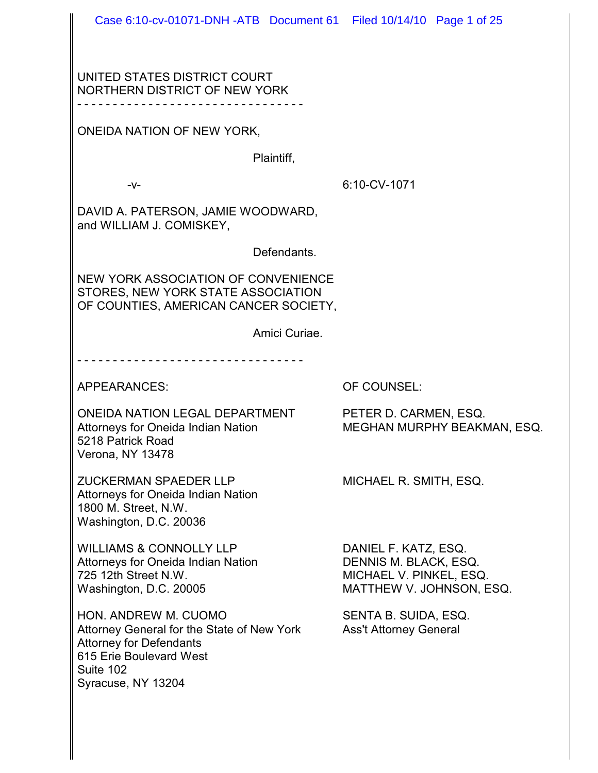| Case 6:10-cv-01071-DNH-ATB Document 61  Filed 10/14/10  Page 1 of 25                                 |
|------------------------------------------------------------------------------------------------------|
|                                                                                                      |
|                                                                                                      |
|                                                                                                      |
|                                                                                                      |
| 6:10-CV-1071                                                                                         |
|                                                                                                      |
|                                                                                                      |
| OF COUNTIES, AMERICAN CANCER SOCIETY,                                                                |
|                                                                                                      |
|                                                                                                      |
| OF COUNSEL:                                                                                          |
| PETER D. CARMEN, ESQ.<br>MEGHAN MURPHY BEAKMAN, ESQ.                                                 |
| MICHAEL R. SMITH, ESQ.                                                                               |
| DANIEL F. KATZ, ESQ.<br>DENNIS M. BLACK, ESQ.<br>MICHAEL V. PINKEL, ESQ.<br>MATTHEW V. JOHNSON, ESQ. |
| SENTA B. SUIDA, ESQ.<br><b>Ass't Attorney General</b>                                                |
|                                                                                                      |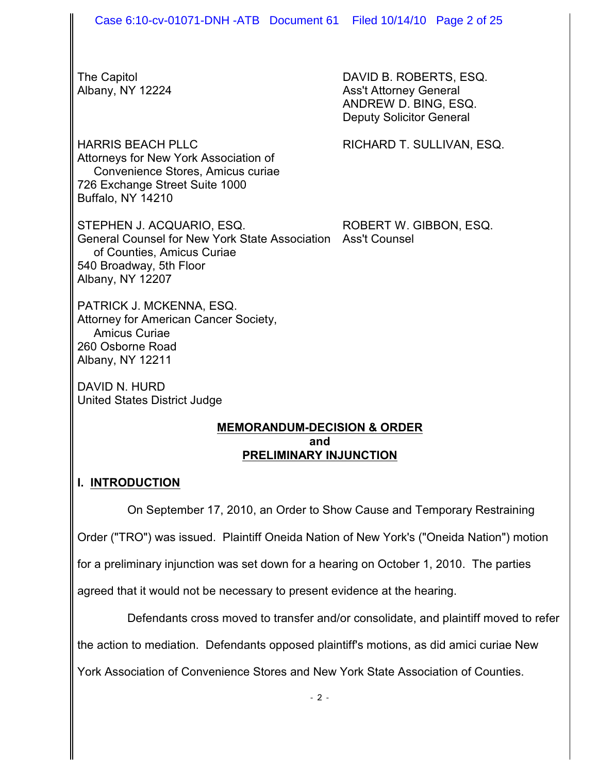The Capitol **DAVID B. ROBERTS, ESQ.** Albany, NY 12224 Albany, NY 12224 ANDREW D. BING, ESQ. Deputy Solicitor General

HARRIS BEACH PLLC RICHARD T. SULLIVAN, ESQ. Attorneys for New York Association of Convenience Stores, Amicus curiae 726 Exchange Street Suite 1000 Buffalo, NY 14210

STEPHEN J. ACQUARIO, ESQ. ROBERT W. GIBBON, ESQ. General Counsel for New York State Association Ass't Counsel of Counties, Amicus Curiae 540 Broadway, 5th Floor Albany, NY 12207

PATRICK J. MCKENNA, ESQ. Attorney for American Cancer Society, Amicus Curiae 260 Osborne Road Albany, NY 12211

DAVID N. HURD United States District Judge

#### **MEMORANDUM-DECISION & ORDER and PRELIMINARY INJUNCTION**

## **I. INTRODUCTION**

On September 17, 2010, an Order to Show Cause and Temporary Restraining

Order ("TRO") was issued. Plaintiff Oneida Nation of New York's ("Oneida Nation") motion

for a preliminary injunction was set down for a hearing on October 1, 2010. The parties

agreed that it would not be necessary to present evidence at the hearing.

Defendants cross moved to transfer and/or consolidate, and plaintiff moved to refer

the action to mediation. Defendants opposed plaintiff's motions, as did amici curiae New

York Association of Convenience Stores and New York State Association of Counties.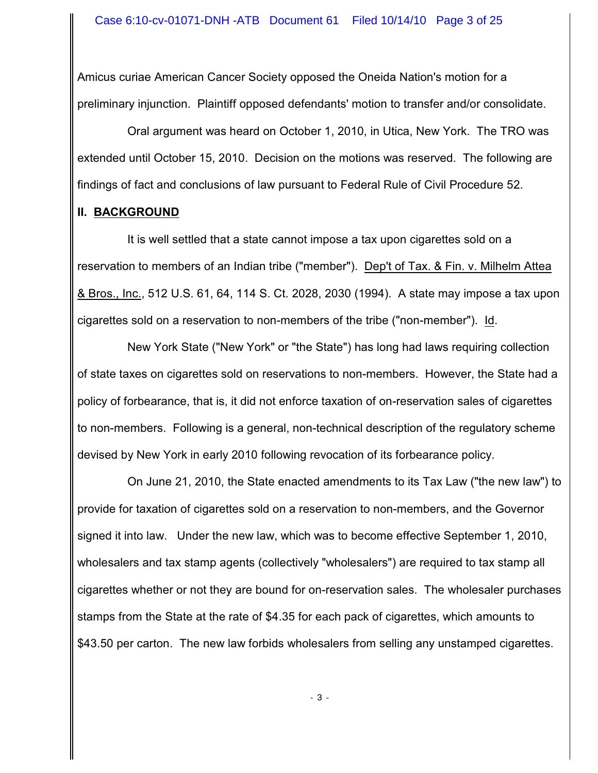Amicus curiae American Cancer Society opposed the Oneida Nation's motion for a preliminary injunction. Plaintiff opposed defendants' motion to transfer and/or consolidate.

Oral argument was heard on October 1, 2010, in Utica, New York. The TRO was extended until October 15, 2010. Decision on the motions was reserved. The following are findings of fact and conclusions of law pursuant to Federal Rule of Civil Procedure 52.

#### **II. BACKGROUND**

It is well settled that a state cannot impose a tax upon cigarettes sold on a reservation to members of an Indian tribe ("member"). Dep't of Tax. & Fin. v. Milhelm Attea & Bros., Inc., 512 U.S. 61, 64, 114 S. Ct. 2028, 2030 (1994). A state may impose a tax upon cigarettes sold on a reservation to non-members of the tribe ("non-member"). Id.

New York State ("New York" or "the State") has long had laws requiring collection of state taxes on cigarettes sold on reservations to non-members. However, the State had a policy of forbearance, that is, it did not enforce taxation of on-reservation sales of cigarettes to non-members. Following is a general, non-technical description of the regulatory scheme devised by New York in early 2010 following revocation of its forbearance policy.

On June 21, 2010, the State enacted amendments to its Tax Law ("the new law") to provide for taxation of cigarettes sold on a reservation to non-members, and the Governor signed it into law. Under the new law, which was to become effective September 1, 2010, wholesalers and tax stamp agents (collectively "wholesalers") are required to tax stamp all cigarettes whether or not they are bound for on-reservation sales. The wholesaler purchases stamps from the State at the rate of \$4.35 for each pack of cigarettes, which amounts to \$43.50 per carton. The new law forbids wholesalers from selling any unstamped cigarettes.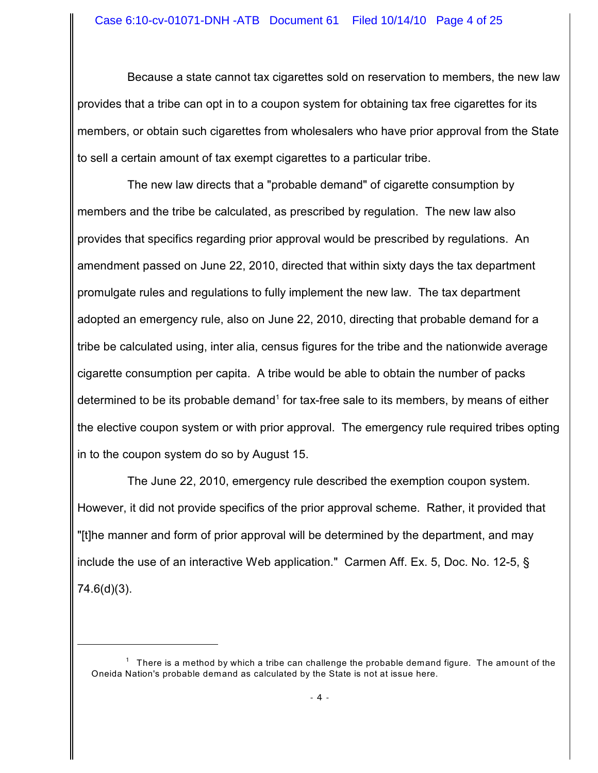Because a state cannot tax cigarettes sold on reservation to members, the new law provides that a tribe can opt in to a coupon system for obtaining tax free cigarettes for its members, or obtain such cigarettes from wholesalers who have prior approval from the State to sell a certain amount of tax exempt cigarettes to a particular tribe.

The new law directs that a "probable demand" of cigarette consumption by members and the tribe be calculated, as prescribed by regulation. The new law also provides that specifics regarding prior approval would be prescribed by regulations. An amendment passed on June 22, 2010, directed that within sixty days the tax department promulgate rules and regulations to fully implement the new law. The tax department adopted an emergency rule, also on June 22, 2010, directing that probable demand for a tribe be calculated using, inter alia, census figures for the tribe and the nationwide average cigarette consumption per capita. A tribe would be able to obtain the number of packs determined to be its probable demand<sup>1</sup> for tax-free sale to its members, by means of either the elective coupon system or with prior approval. The emergency rule required tribes opting in to the coupon system do so by August 15.

The June 22, 2010, emergency rule described the exemption coupon system. However, it did not provide specifics of the prior approval scheme. Rather, it provided that "[t]he manner and form of prior approval will be determined by the department, and may include the use of an interactive Web application." Carmen Aff. Ex. 5, Doc. No. 12-5, § 74.6(d)(3).

 $1$  There is a method by which a tribe can challenge the probable demand figure. The amount of the Oneida Nation's probable demand as calculated by the State is not at issue here.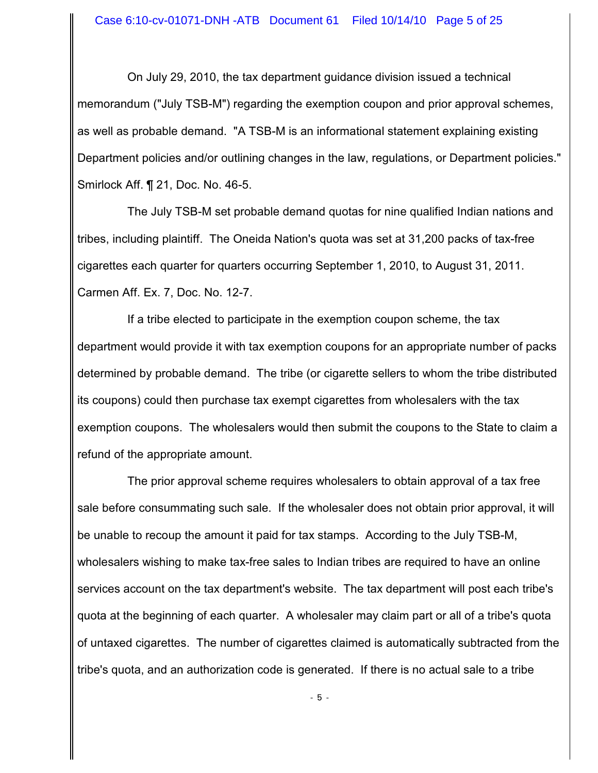On July 29, 2010, the tax department guidance division issued a technical memorandum ("July TSB-M") regarding the exemption coupon and prior approval schemes, as well as probable demand. "A TSB-M is an informational statement explaining existing Department policies and/or outlining changes in the law, regulations, or Department policies." Smirlock Aff. ¶ 21, Doc. No. 46-5.

The July TSB-M set probable demand quotas for nine qualified Indian nations and tribes, including plaintiff. The Oneida Nation's quota was set at 31,200 packs of tax-free cigarettes each quarter for quarters occurring September 1, 2010, to August 31, 2011. Carmen Aff. Ex. 7, Doc. No. 12-7.

If a tribe elected to participate in the exemption coupon scheme, the tax department would provide it with tax exemption coupons for an appropriate number of packs determined by probable demand. The tribe (or cigarette sellers to whom the tribe distributed its coupons) could then purchase tax exempt cigarettes from wholesalers with the tax exemption coupons. The wholesalers would then submit the coupons to the State to claim a refund of the appropriate amount.

The prior approval scheme requires wholesalers to obtain approval of a tax free sale before consummating such sale. If the wholesaler does not obtain prior approval, it will be unable to recoup the amount it paid for tax stamps. According to the July TSB-M, wholesalers wishing to make tax-free sales to Indian tribes are required to have an online services account on the tax department's website. The tax department will post each tribe's quota at the beginning of each quarter. A wholesaler may claim part or all of a tribe's quota of untaxed cigarettes. The number of cigarettes claimed is automatically subtracted from the tribe's quota, and an authorization code is generated. If there is no actual sale to a tribe

- 5 -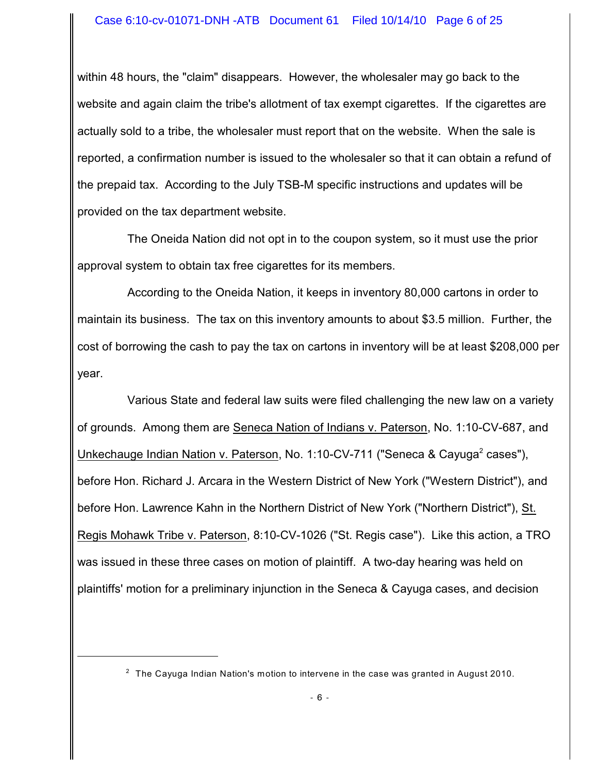within 48 hours, the "claim" disappears. However, the wholesaler may go back to the website and again claim the tribe's allotment of tax exempt cigarettes. If the cigarettes are actually sold to a tribe, the wholesaler must report that on the website. When the sale is reported, a confirmation number is issued to the wholesaler so that it can obtain a refund of the prepaid tax. According to the July TSB-M specific instructions and updates will be provided on the tax department website.

The Oneida Nation did not opt in to the coupon system, so it must use the prior approval system to obtain tax free cigarettes for its members.

According to the Oneida Nation, it keeps in inventory 80,000 cartons in order to maintain its business. The tax on this inventory amounts to about \$3.5 million. Further, the cost of borrowing the cash to pay the tax on cartons in inventory will be at least \$208,000 per year.

Various State and federal law suits were filed challenging the new law on a variety of grounds. Among them are Seneca Nation of Indians v. Paterson, No. 1:10-CV-687, and Unkechauge Indian Nation v. Paterson, No. 1:10-CV-711 ("Seneca & Cayuga<sup>2</sup> cases"), before Hon. Richard J. Arcara in the Western District of New York ("Western District"), and before Hon. Lawrence Kahn in the Northern District of New York ("Northern District"), St. Regis Mohawk Tribe v. Paterson, 8:10-CV-1026 ("St. Regis case"). Like this action, a TRO was issued in these three cases on motion of plaintiff. A two-day hearing was held on plaintiffs' motion for a preliminary injunction in the Seneca & Cayuga cases, and decision

 $2$  The Cayuga Indian Nation's motion to intervene in the case was granted in August 2010.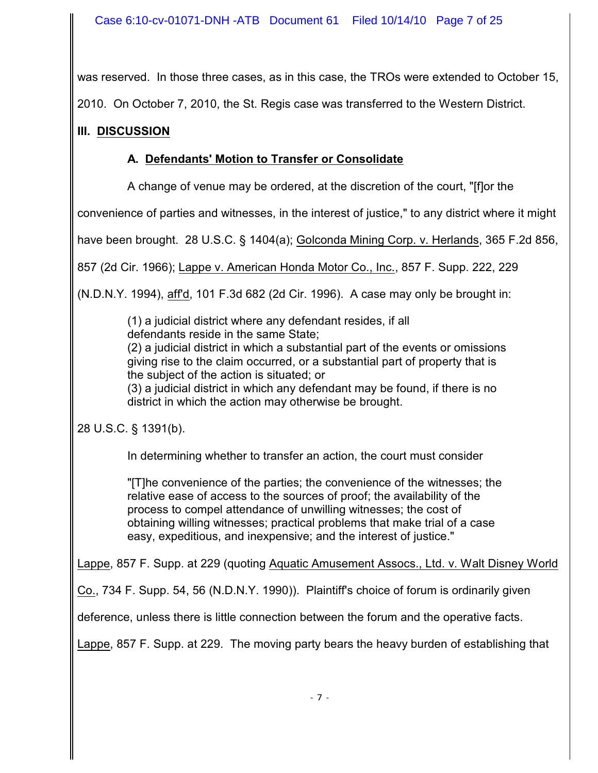was reserved. In those three cases, as in this case, the TROs were extended to October 15,

2010. On October 7, 2010, the St. Regis case was transferred to the Western District.

# **III. DISCUSSION**

## **A. Defendants' Motion to Transfer or Consolidate**

A change of venue may be ordered, at the discretion of the court, "[f]or the

convenience of parties and witnesses, in the interest of justice," to any district where it might

have been brought. 28 U.S.C. § 1404(a); Golconda Mining Corp. v. Herlands, 365 F.2d 856,

857 (2d Cir. 1966); Lappe v. American Honda Motor Co., Inc., 857 F. Supp. 222, 229

(N.D.N.Y. 1994), aff'd, 101 F.3d 682 (2d Cir. 1996). A case may only be brought in:

(1) a judicial district where any defendant resides, if all defendants reside in the same State;

(2) a judicial district in which a substantial part of the events or omissions giving rise to the claim occurred, or a substantial part of property that is the subject of the action is situated; or

(3) a judicial district in which any defendant may be found, if there is no district in which the action may otherwise be brought.

28 U.S.C. § 1391(b).

In determining whether to transfer an action, the court must consider

"[T]he convenience of the parties; the convenience of the witnesses; the relative ease of access to the sources of proof; the availability of the process to compel attendance of unwilling witnesses; the cost of obtaining willing witnesses; practical problems that make trial of a case easy, expeditious, and inexpensive; and the interest of justice."

Lappe, 857 F. Supp. at 229 (quoting Aquatic Amusement Assocs., Ltd. v. Walt Disney World

Co., 734 F. Supp. 54, 56 (N.D.N.Y. 1990)). Plaintiff's choice of forum is ordinarily given

deference, unless there is little connection between the forum and the operative facts.

Lappe, 857 F. Supp. at 229. The moving party bears the heavy burden of establishing that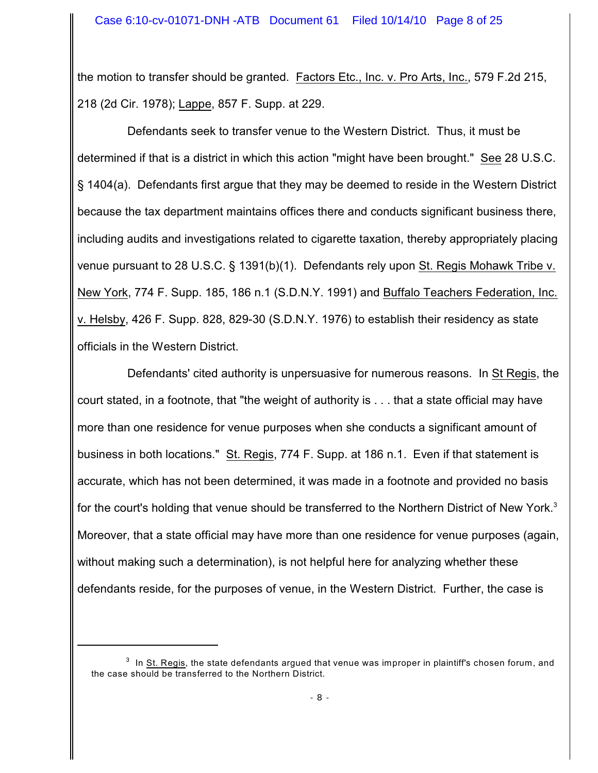the motion to transfer should be granted. Factors Etc., Inc. v. Pro Arts, Inc., 579 F.2d 215, 218 (2d Cir. 1978); Lappe, 857 F. Supp. at 229.

Defendants seek to transfer venue to the Western District. Thus, it must be determined if that is a district in which this action "might have been brought." See 28 U.S.C. § 1404(a). Defendants first argue that they may be deemed to reside in the Western District because the tax department maintains offices there and conducts significant business there, including audits and investigations related to cigarette taxation, thereby appropriately placing venue pursuant to 28 U.S.C. § 1391(b)(1). Defendants rely upon St. Regis Mohawk Tribe v. New York, 774 F. Supp. 185, 186 n.1 (S.D.N.Y. 1991) and Buffalo Teachers Federation, Inc. v. Helsby, 426 F. Supp. 828, 829-30 (S.D.N.Y. 1976) to establish their residency as state officials in the Western District.

Defendants' cited authority is unpersuasive for numerous reasons. In St Regis, the court stated, in a footnote, that "the weight of authority is . . . that a state official may have more than one residence for venue purposes when she conducts a significant amount of business in both locations." St. Regis, 774 F. Supp. at 186 n.1. Even if that statement is accurate, which has not been determined, it was made in a footnote and provided no basis for the court's holding that venue should be transferred to the Northern District of New York.<sup>3</sup> Moreover, that a state official may have more than one residence for venue purposes (again, without making such a determination), is not helpful here for analyzing whether these defendants reside, for the purposes of venue, in the Western District. Further, the case is

 $^3\,$  In St. Regis, the state defendants argued that venue was improper in plaintiff's chosen forum, and the case should be transferred to the Northern District.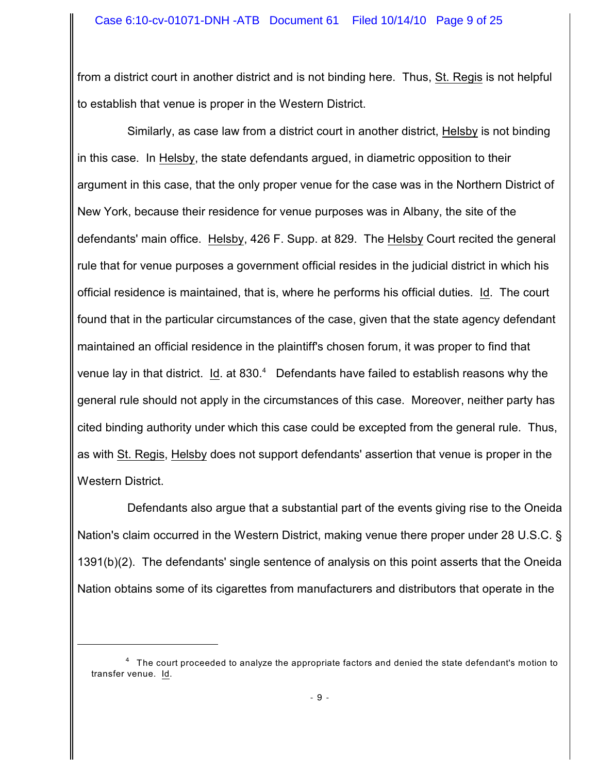from a district court in another district and is not binding here. Thus, St. Regis is not helpful to establish that venue is proper in the Western District.

Similarly, as case law from a district court in another district, Helsby is not binding in this case. In Helsby, the state defendants argued, in diametric opposition to their argument in this case, that the only proper venue for the case was in the Northern District of New York, because their residence for venue purposes was in Albany, the site of the defendants' main office. Helsby, 426 F. Supp. at 829. The Helsby Court recited the general rule that for venue purposes a government official resides in the judicial district in which his official residence is maintained, that is, where he performs his official duties. Id. The court found that in the particular circumstances of the case, given that the state agency defendant maintained an official residence in the plaintiff's chosen forum, it was proper to find that venue lay in that district. Id. at  $830<sup>4</sup>$  Defendants have failed to establish reasons why the general rule should not apply in the circumstances of this case. Moreover, neither party has cited binding authority under which this case could be excepted from the general rule. Thus, as with St. Regis, Helsby does not support defendants' assertion that venue is proper in the Western District.

Defendants also argue that a substantial part of the events giving rise to the Oneida Nation's claim occurred in the Western District, making venue there proper under 28 U.S.C. § 1391(b)(2). The defendants' single sentence of analysis on this point asserts that the Oneida Nation obtains some of its cigarettes from manufacturers and distributors that operate in the

 $4$  The court proceeded to analyze the appropriate factors and denied the state defendant's motion to transfer venue. Id.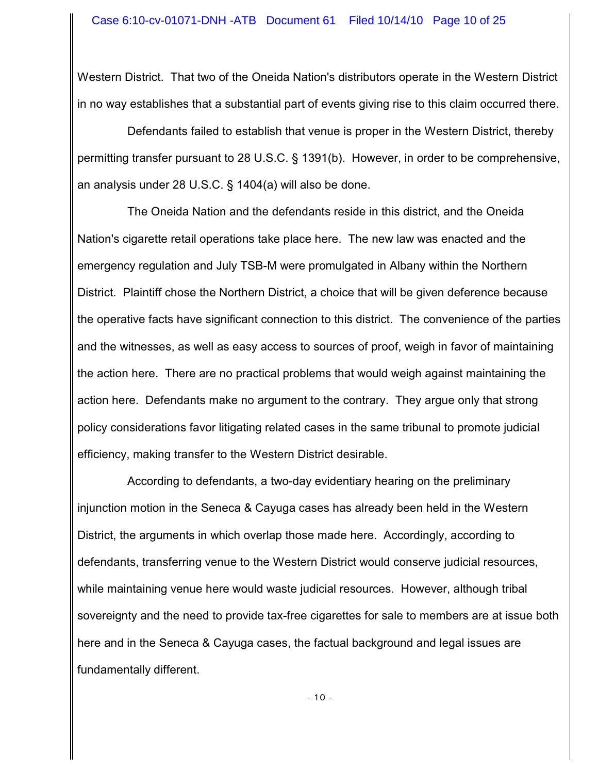Western District. That two of the Oneida Nation's distributors operate in the Western District in no way establishes that a substantial part of events giving rise to this claim occurred there.

Defendants failed to establish that venue is proper in the Western District, thereby permitting transfer pursuant to 28 U.S.C. § 1391(b). However, in order to be comprehensive, an analysis under 28 U.S.C. § 1404(a) will also be done.

The Oneida Nation and the defendants reside in this district, and the Oneida Nation's cigarette retail operations take place here. The new law was enacted and the emergency regulation and July TSB-M were promulgated in Albany within the Northern District. Plaintiff chose the Northern District, a choice that will be given deference because the operative facts have significant connection to this district. The convenience of the parties and the witnesses, as well as easy access to sources of proof, weigh in favor of maintaining the action here. There are no practical problems that would weigh against maintaining the action here. Defendants make no argument to the contrary. They argue only that strong policy considerations favor litigating related cases in the same tribunal to promote judicial efficiency, making transfer to the Western District desirable.

According to defendants, a two-day evidentiary hearing on the preliminary injunction motion in the Seneca & Cayuga cases has already been held in the Western District, the arguments in which overlap those made here. Accordingly, according to defendants, transferring venue to the Western District would conserve judicial resources, while maintaining venue here would waste judicial resources. However, although tribal sovereignty and the need to provide tax-free cigarettes for sale to members are at issue both here and in the Seneca & Cayuga cases, the factual background and legal issues are fundamentally different.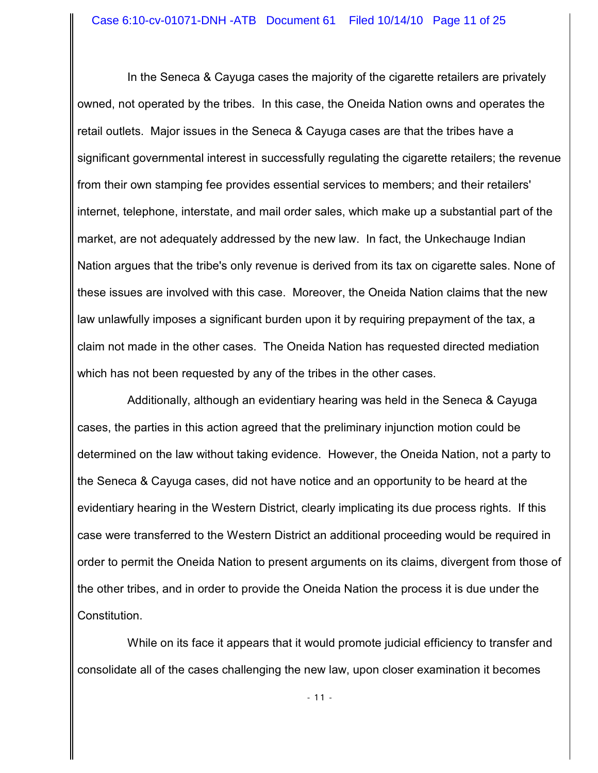In the Seneca & Cayuga cases the majority of the cigarette retailers are privately owned, not operated by the tribes. In this case, the Oneida Nation owns and operates the retail outlets. Major issues in the Seneca & Cayuga cases are that the tribes have a significant governmental interest in successfully regulating the cigarette retailers; the revenue from their own stamping fee provides essential services to members; and their retailers' internet, telephone, interstate, and mail order sales, which make up a substantial part of the market, are not adequately addressed by the new law. In fact, the Unkechauge Indian Nation argues that the tribe's only revenue is derived from its tax on cigarette sales. None of these issues are involved with this case. Moreover, the Oneida Nation claims that the new law unlawfully imposes a significant burden upon it by requiring prepayment of the tax, a claim not made in the other cases. The Oneida Nation has requested directed mediation which has not been requested by any of the tribes in the other cases.

Additionally, although an evidentiary hearing was held in the Seneca & Cayuga cases, the parties in this action agreed that the preliminary injunction motion could be determined on the law without taking evidence. However, the Oneida Nation, not a party to the Seneca & Cayuga cases, did not have notice and an opportunity to be heard at the evidentiary hearing in the Western District, clearly implicating its due process rights. If this case were transferred to the Western District an additional proceeding would be required in order to permit the Oneida Nation to present arguments on its claims, divergent from those of the other tribes, and in order to provide the Oneida Nation the process it is due under the Constitution.

While on its face it appears that it would promote judicial efficiency to transfer and consolidate all of the cases challenging the new law, upon closer examination it becomes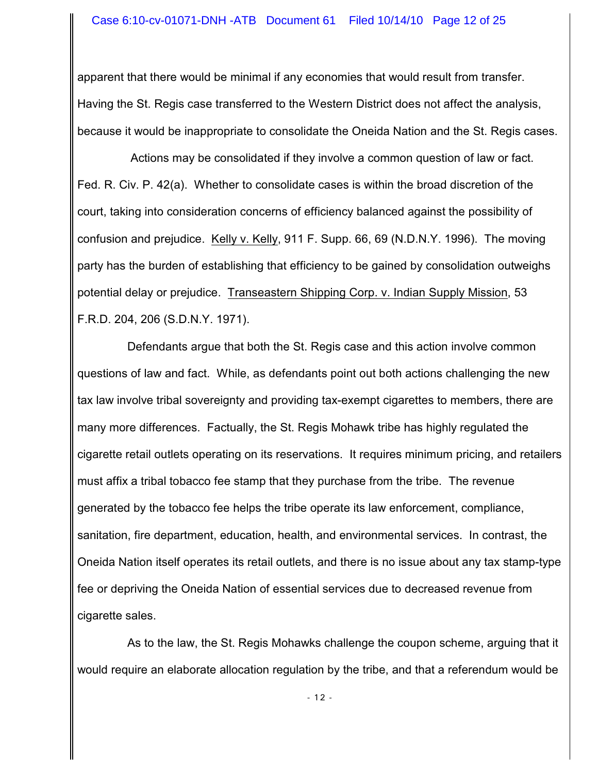apparent that there would be minimal if any economies that would result from transfer. Having the St. Regis case transferred to the Western District does not affect the analysis, because it would be inappropriate to consolidate the Oneida Nation and the St. Regis cases.

 Actions may be consolidated if they involve a common question of law or fact. Fed. R. Civ. P. 42(a). Whether to consolidate cases is within the broad discretion of the court, taking into consideration concerns of efficiency balanced against the possibility of confusion and prejudice. Kelly v. Kelly, 911 F. Supp. 66, 69 (N.D.N.Y. 1996). The moving party has the burden of establishing that efficiency to be gained by consolidation outweighs potential delay or prejudice. Transeastern Shipping Corp. v. Indian Supply Mission, 53 F.R.D. 204, 206 (S.D.N.Y. 1971).

Defendants argue that both the St. Regis case and this action involve common questions of law and fact. While, as defendants point out both actions challenging the new tax law involve tribal sovereignty and providing tax-exempt cigarettes to members, there are many more differences. Factually, the St. Regis Mohawk tribe has highly regulated the cigarette retail outlets operating on its reservations. It requires minimum pricing, and retailers must affix a tribal tobacco fee stamp that they purchase from the tribe. The revenue generated by the tobacco fee helps the tribe operate its law enforcement, compliance, sanitation, fire department, education, health, and environmental services. In contrast, the Oneida Nation itself operates its retail outlets, and there is no issue about any tax stamp-type fee or depriving the Oneida Nation of essential services due to decreased revenue from cigarette sales.

As to the law, the St. Regis Mohawks challenge the coupon scheme, arguing that it would require an elaborate allocation regulation by the tribe, and that a referendum would be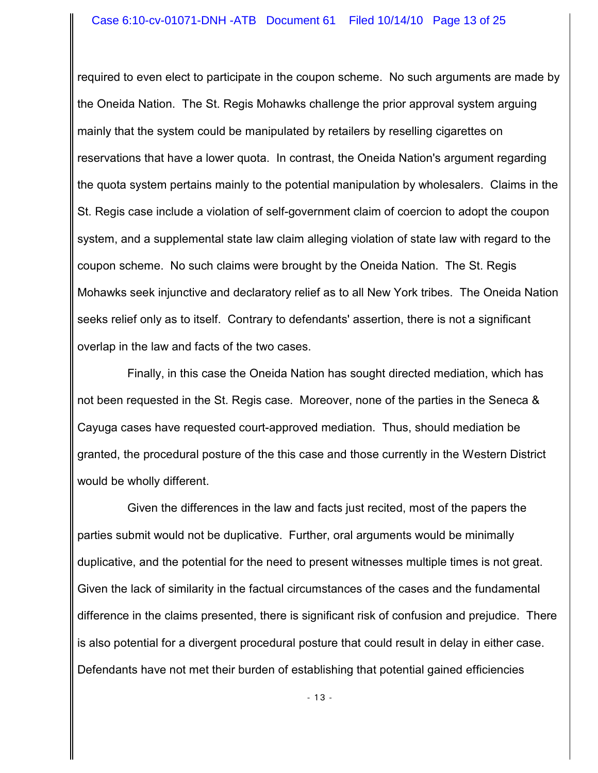required to even elect to participate in the coupon scheme. No such arguments are made by the Oneida Nation. The St. Regis Mohawks challenge the prior approval system arguing mainly that the system could be manipulated by retailers by reselling cigarettes on reservations that have a lower quota. In contrast, the Oneida Nation's argument regarding the quota system pertains mainly to the potential manipulation by wholesalers. Claims in the St. Regis case include a violation of self-government claim of coercion to adopt the coupon system, and a supplemental state law claim alleging violation of state law with regard to the coupon scheme. No such claims were brought by the Oneida Nation. The St. Regis Mohawks seek injunctive and declaratory relief as to all New York tribes. The Oneida Nation seeks relief only as to itself. Contrary to defendants' assertion, there is not a significant overlap in the law and facts of the two cases.

Finally, in this case the Oneida Nation has sought directed mediation, which has not been requested in the St. Regis case. Moreover, none of the parties in the Seneca & Cayuga cases have requested court-approved mediation. Thus, should mediation be granted, the procedural posture of the this case and those currently in the Western District would be wholly different.

Given the differences in the law and facts just recited, most of the papers the parties submit would not be duplicative. Further, oral arguments would be minimally duplicative, and the potential for the need to present witnesses multiple times is not great. Given the lack of similarity in the factual circumstances of the cases and the fundamental difference in the claims presented, there is significant risk of confusion and prejudice. There is also potential for a divergent procedural posture that could result in delay in either case. Defendants have not met their burden of establishing that potential gained efficiencies

- 13 -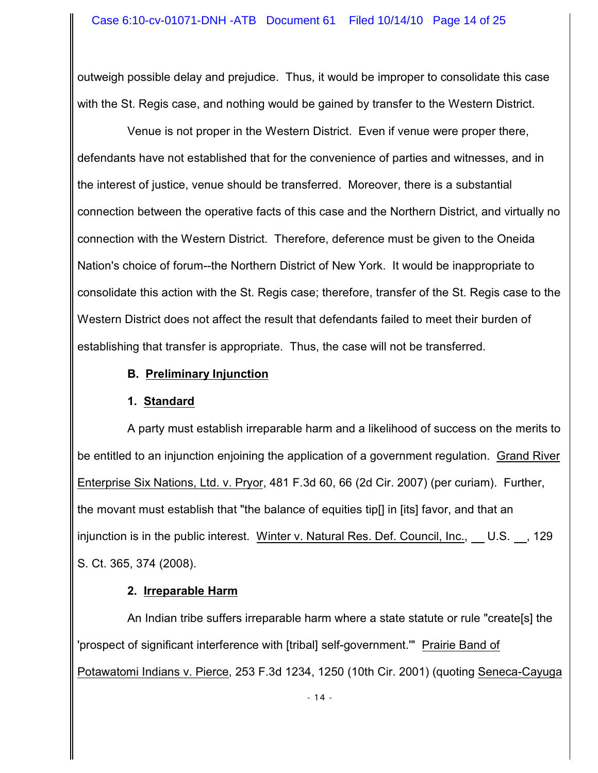outweigh possible delay and prejudice. Thus, it would be improper to consolidate this case with the St. Regis case, and nothing would be gained by transfer to the Western District.

Venue is not proper in the Western District. Even if venue were proper there, defendants have not established that for the convenience of parties and witnesses, and in the interest of justice, venue should be transferred. Moreover, there is a substantial connection between the operative facts of this case and the Northern District, and virtually no connection with the Western District. Therefore, deference must be given to the Oneida Nation's choice of forum--the Northern District of New York. It would be inappropriate to consolidate this action with the St. Regis case; therefore, transfer of the St. Regis case to the Western District does not affect the result that defendants failed to meet their burden of establishing that transfer is appropriate. Thus, the case will not be transferred.

## **B. Preliminary Injunction**

## **1. Standard**

A party must establish irreparable harm and a likelihood of success on the merits to be entitled to an injunction enjoining the application of a government regulation. Grand River Enterprise Six Nations, Ltd. v. Pryor, 481 F.3d 60, 66 (2d Cir. 2007) (per curiam). Further, the movant must establish that "the balance of equities tip[] in [its] favor, and that an injunction is in the public interest. Winter v. Natural Res. Def. Council, Inc., U.S. , 129 S. Ct. 365, 374 (2008).

## **2. Irreparable Harm**

An Indian tribe suffers irreparable harm where a state statute or rule "create[s] the 'prospect of significant interference with [tribal] self-government.'" Prairie Band of Potawatomi Indians v. Pierce, 253 F.3d 1234, 1250 (10th Cir. 2001) (quoting Seneca-Cayuga

- 14 -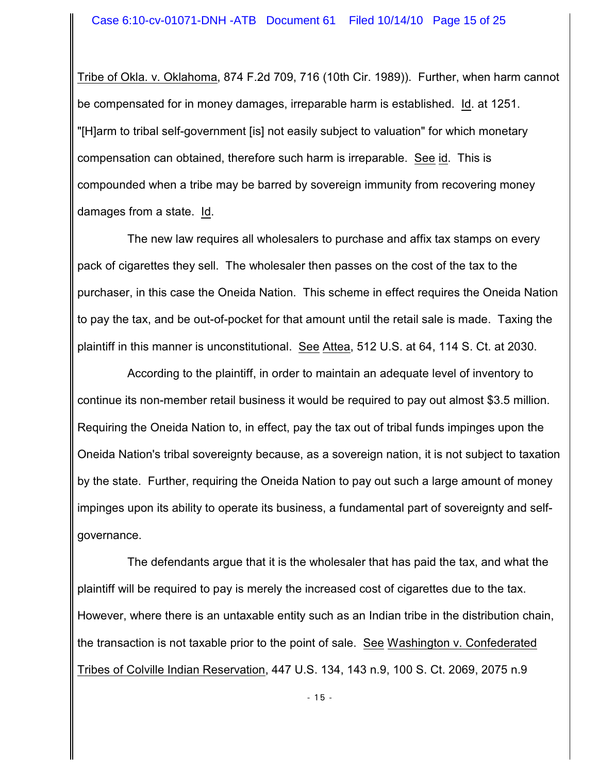Tribe of Okla. v. Oklahoma, 874 F.2d 709, 716 (10th Cir. 1989)). Further, when harm cannot be compensated for in money damages, irreparable harm is established. Id. at 1251. "[H]arm to tribal self-government [is] not easily subject to valuation" for which monetary compensation can obtained, therefore such harm is irreparable. See id. This is compounded when a tribe may be barred by sovereign immunity from recovering money damages from a state. Id.

The new law requires all wholesalers to purchase and affix tax stamps on every pack of cigarettes they sell. The wholesaler then passes on the cost of the tax to the purchaser, in this case the Oneida Nation. This scheme in effect requires the Oneida Nation to pay the tax, and be out-of-pocket for that amount until the retail sale is made. Taxing the plaintiff in this manner is unconstitutional. See Attea, 512 U.S. at 64, 114 S. Ct. at 2030.

According to the plaintiff, in order to maintain an adequate level of inventory to continue its non-member retail business it would be required to pay out almost \$3.5 million. Requiring the Oneida Nation to, in effect, pay the tax out of tribal funds impinges upon the Oneida Nation's tribal sovereignty because, as a sovereign nation, it is not subject to taxation by the state. Further, requiring the Oneida Nation to pay out such a large amount of money impinges upon its ability to operate its business, a fundamental part of sovereignty and selfgovernance.

The defendants argue that it is the wholesaler that has paid the tax, and what the plaintiff will be required to pay is merely the increased cost of cigarettes due to the tax. However, where there is an untaxable entity such as an Indian tribe in the distribution chain, the transaction is not taxable prior to the point of sale. See Washington v. Confederated Tribes of Colville Indian Reservation, 447 U.S. 134, 143 n.9, 100 S. Ct. 2069, 2075 n.9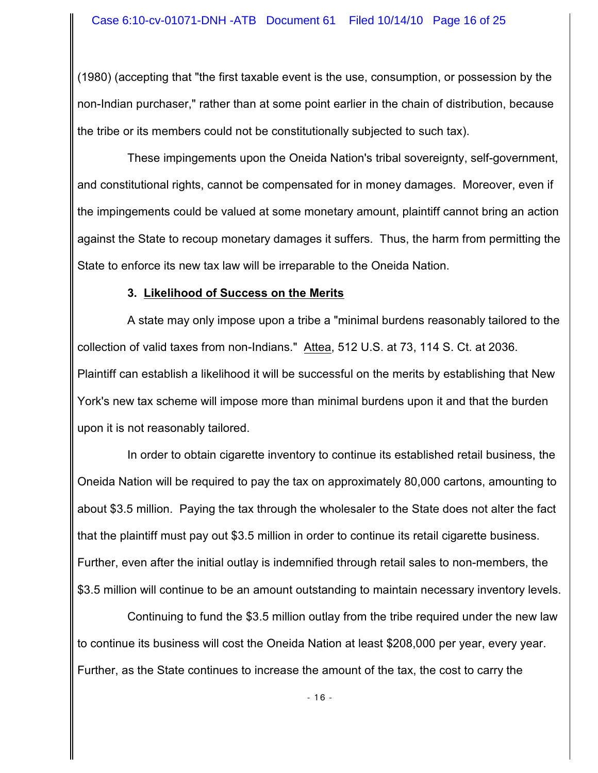(1980) (accepting that "the first taxable event is the use, consumption, or possession by the non-Indian purchaser," rather than at some point earlier in the chain of distribution, because the tribe or its members could not be constitutionally subjected to such tax).

These impingements upon the Oneida Nation's tribal sovereignty, self-government, and constitutional rights, cannot be compensated for in money damages. Moreover, even if the impingements could be valued at some monetary amount, plaintiff cannot bring an action against the State to recoup monetary damages it suffers. Thus, the harm from permitting the State to enforce its new tax law will be irreparable to the Oneida Nation.

#### **3. Likelihood of Success on the Merits**

A state may only impose upon a tribe a "minimal burdens reasonably tailored to the collection of valid taxes from non-Indians." Attea, 512 U.S. at 73, 114 S. Ct. at 2036. Plaintiff can establish a likelihood it will be successful on the merits by establishing that New York's new tax scheme will impose more than minimal burdens upon it and that the burden upon it is not reasonably tailored.

In order to obtain cigarette inventory to continue its established retail business, the Oneida Nation will be required to pay the tax on approximately 80,000 cartons, amounting to about \$3.5 million. Paying the tax through the wholesaler to the State does not alter the fact that the plaintiff must pay out \$3.5 million in order to continue its retail cigarette business. Further, even after the initial outlay is indemnified through retail sales to non-members, the \$3.5 million will continue to be an amount outstanding to maintain necessary inventory levels.

Continuing to fund the \$3.5 million outlay from the tribe required under the new law to continue its business will cost the Oneida Nation at least \$208,000 per year, every year. Further, as the State continues to increase the amount of the tax, the cost to carry the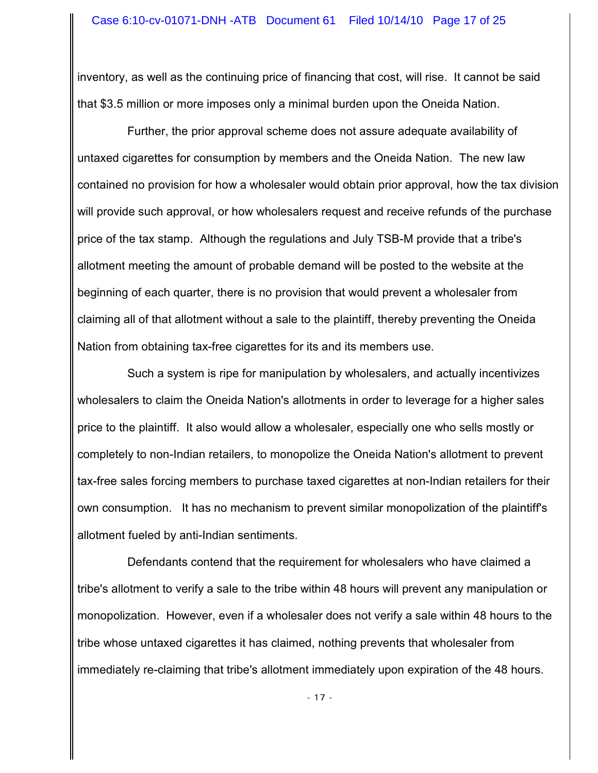inventory, as well as the continuing price of financing that cost, will rise. It cannot be said that \$3.5 million or more imposes only a minimal burden upon the Oneida Nation.

Further, the prior approval scheme does not assure adequate availability of untaxed cigarettes for consumption by members and the Oneida Nation. The new law contained no provision for how a wholesaler would obtain prior approval, how the tax division will provide such approval, or how wholesalers request and receive refunds of the purchase price of the tax stamp. Although the regulations and July TSB-M provide that a tribe's allotment meeting the amount of probable demand will be posted to the website at the beginning of each quarter, there is no provision that would prevent a wholesaler from claiming all of that allotment without a sale to the plaintiff, thereby preventing the Oneida Nation from obtaining tax-free cigarettes for its and its members use.

Such a system is ripe for manipulation by wholesalers, and actually incentivizes wholesalers to claim the Oneida Nation's allotments in order to leverage for a higher sales price to the plaintiff. It also would allow a wholesaler, especially one who sells mostly or completely to non-Indian retailers, to monopolize the Oneida Nation's allotment to prevent tax-free sales forcing members to purchase taxed cigarettes at non-Indian retailers for their own consumption. It has no mechanism to prevent similar monopolization of the plaintiff's allotment fueled by anti-Indian sentiments.

Defendants contend that the requirement for wholesalers who have claimed a tribe's allotment to verify a sale to the tribe within 48 hours will prevent any manipulation or monopolization. However, even if a wholesaler does not verify a sale within 48 hours to the tribe whose untaxed cigarettes it has claimed, nothing prevents that wholesaler from immediately re-claiming that tribe's allotment immediately upon expiration of the 48 hours.

- 17 -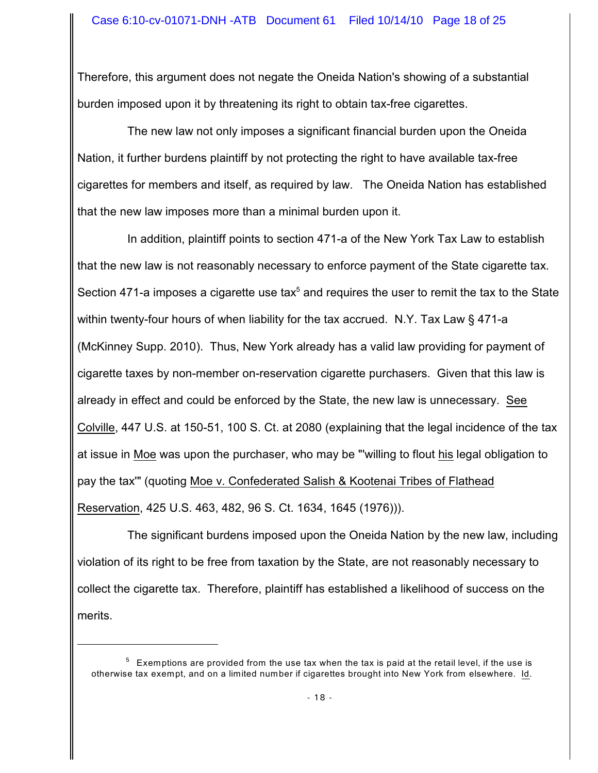Therefore, this argument does not negate the Oneida Nation's showing of a substantial burden imposed upon it by threatening its right to obtain tax-free cigarettes.

The new law not only imposes a significant financial burden upon the Oneida Nation, it further burdens plaintiff by not protecting the right to have available tax-free cigarettes for members and itself, as required by law. The Oneida Nation has established that the new law imposes more than a minimal burden upon it.

In addition, plaintiff points to section 471-a of the New York Tax Law to establish that the new law is not reasonably necessary to enforce payment of the State cigarette tax. Section 471-a imposes a cigarette use tax<sup>5</sup> and requires the user to remit the tax to the State within twenty-four hours of when liability for the tax accrued. N.Y. Tax Law § 471-a (McKinney Supp. 2010). Thus, New York already has a valid law providing for payment of cigarette taxes by non-member on-reservation cigarette purchasers. Given that this law is already in effect and could be enforced by the State, the new law is unnecessary. See Colville, 447 U.S. at 150-51, 100 S. Ct. at 2080 (explaining that the legal incidence of the tax at issue in Moe was upon the purchaser, who may be "'willing to flout his legal obligation to pay the tax'" (quoting Moe v. Confederated Salish & Kootenai Tribes of Flathead Reservation, 425 U.S. 463, 482, 96 S. Ct. 1634, 1645 (1976))).

The significant burdens imposed upon the Oneida Nation by the new law, including violation of its right to be free from taxation by the State, are not reasonably necessary to collect the cigarette tax. Therefore, plaintiff has established a likelihood of success on the merits.

 $5$  Exemptions are provided from the use tax when the tax is paid at the retail level, if the use is otherwise tax exempt, and on a limited number if cigarettes brought into New York from elsewhere. Id.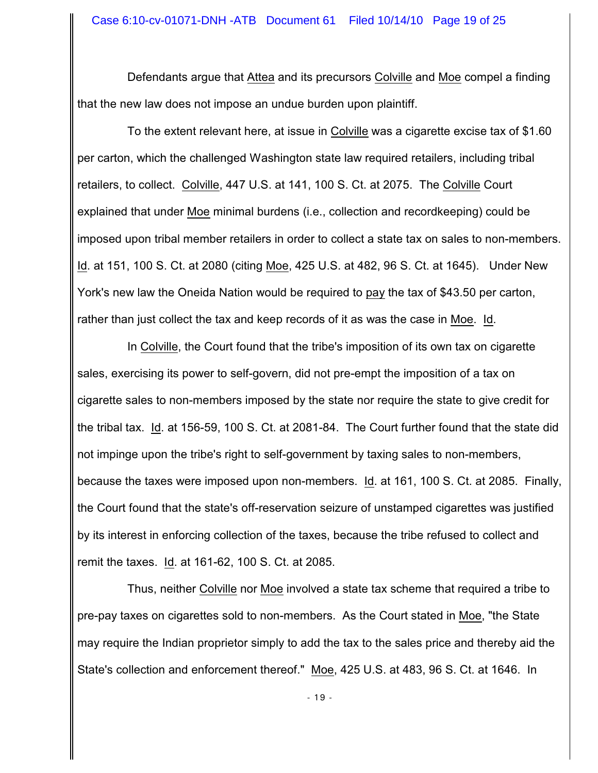Defendants argue that Attea and its precursors Colville and Moe compel a finding that the new law does not impose an undue burden upon plaintiff.

To the extent relevant here, at issue in Colville was a cigarette excise tax of \$1.60 per carton, which the challenged Washington state law required retailers, including tribal retailers, to collect. Colville, 447 U.S. at 141, 100 S. Ct. at 2075. The Colville Court explained that under Moe minimal burdens (i.e., collection and recordkeeping) could be imposed upon tribal member retailers in order to collect a state tax on sales to non-members. Id. at 151, 100 S. Ct. at 2080 (citing Moe, 425 U.S. at 482, 96 S. Ct. at 1645). Under New York's new law the Oneida Nation would be required to pay the tax of \$43.50 per carton, rather than just collect the tax and keep records of it as was the case in Moe. Id.

In Colville, the Court found that the tribe's imposition of its own tax on cigarette sales, exercising its power to self-govern, did not pre-empt the imposition of a tax on cigarette sales to non-members imposed by the state nor require the state to give credit for the tribal tax. Id. at 156-59, 100 S. Ct. at 2081-84. The Court further found that the state did not impinge upon the tribe's right to self-government by taxing sales to non-members, because the taxes were imposed upon non-members. Id. at 161, 100 S. Ct. at 2085. Finally, the Court found that the state's off-reservation seizure of unstamped cigarettes was justified by its interest in enforcing collection of the taxes, because the tribe refused to collect and remit the taxes. Id. at 161-62, 100 S. Ct. at 2085.

Thus, neither Colville nor Moe involved a state tax scheme that required a tribe to pre-pay taxes on cigarettes sold to non-members. As the Court stated in Moe, "the State may require the Indian proprietor simply to add the tax to the sales price and thereby aid the State's collection and enforcement thereof." Moe, 425 U.S. at 483, 96 S. Ct. at 1646. In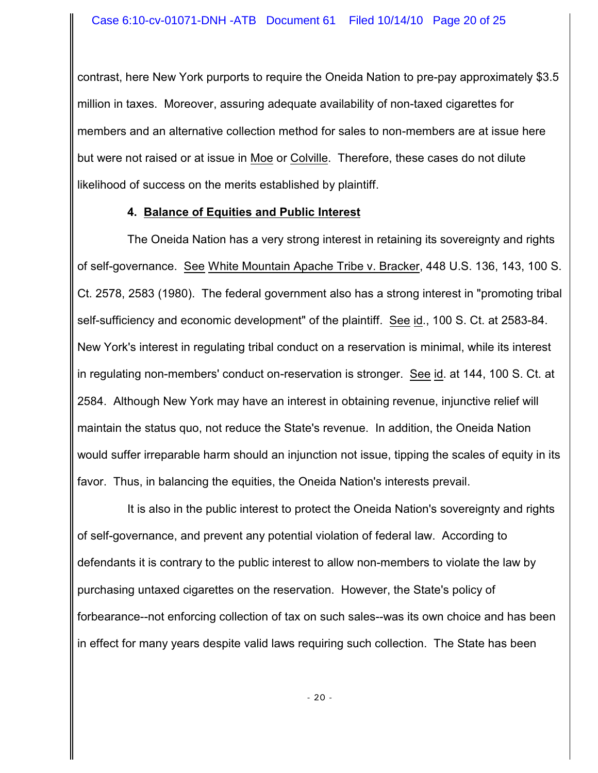contrast, here New York purports to require the Oneida Nation to pre-pay approximately \$3.5 million in taxes. Moreover, assuring adequate availability of non-taxed cigarettes for members and an alternative collection method for sales to non-members are at issue here but were not raised or at issue in Moe or Colville. Therefore, these cases do not dilute likelihood of success on the merits established by plaintiff.

#### **4. Balance of Equities and Public Interest**

The Oneida Nation has a very strong interest in retaining its sovereignty and rights of self-governance. See White Mountain Apache Tribe v. Bracker, 448 U.S. 136, 143, 100 S. Ct. 2578, 2583 (1980). The federal government also has a strong interest in "promoting tribal self-sufficiency and economic development" of the plaintiff. See id., 100 S. Ct. at 2583-84. New York's interest in regulating tribal conduct on a reservation is minimal, while its interest in regulating non-members' conduct on-reservation is stronger. See id. at 144, 100 S. Ct. at 2584. Although New York may have an interest in obtaining revenue, injunctive relief will maintain the status quo, not reduce the State's revenue. In addition, the Oneida Nation would suffer irreparable harm should an injunction not issue, tipping the scales of equity in its favor. Thus, in balancing the equities, the Oneida Nation's interests prevail.

It is also in the public interest to protect the Oneida Nation's sovereignty and rights of self-governance, and prevent any potential violation of federal law. According to defendants it is contrary to the public interest to allow non-members to violate the law by purchasing untaxed cigarettes on the reservation. However, the State's policy of forbearance--not enforcing collection of tax on such sales--was its own choice and has been in effect for many years despite valid laws requiring such collection. The State has been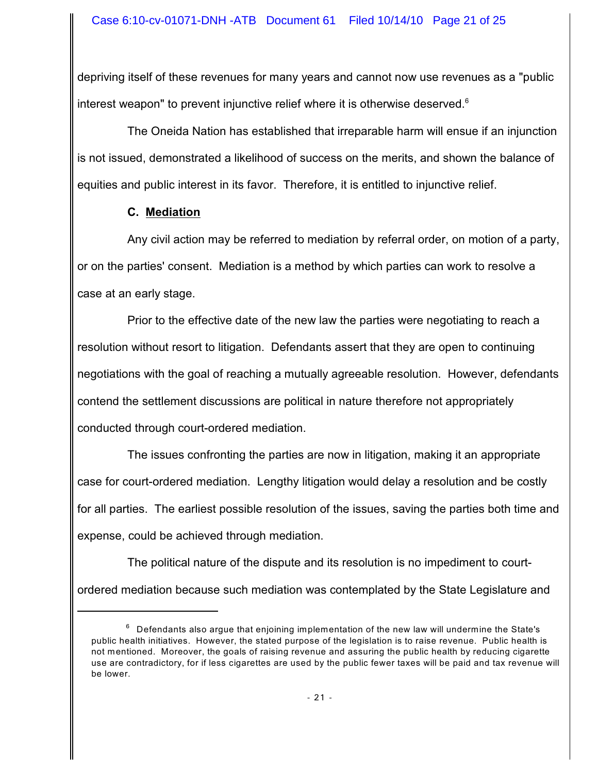depriving itself of these revenues for many years and cannot now use revenues as a "public interest weapon" to prevent injunctive relief where it is otherwise deserved. $6$ 

The Oneida Nation has established that irreparable harm will ensue if an injunction is not issued, demonstrated a likelihood of success on the merits, and shown the balance of equities and public interest in its favor. Therefore, it is entitled to injunctive relief.

#### **C. Mediation**

Any civil action may be referred to mediation by referral order, on motion of a party, or on the parties' consent. Mediation is a method by which parties can work to resolve a case at an early stage.

Prior to the effective date of the new law the parties were negotiating to reach a resolution without resort to litigation. Defendants assert that they are open to continuing negotiations with the goal of reaching a mutually agreeable resolution. However, defendants contend the settlement discussions are political in nature therefore not appropriately conducted through court-ordered mediation.

The issues confronting the parties are now in litigation, making it an appropriate case for court-ordered mediation. Lengthy litigation would delay a resolution and be costly for all parties. The earliest possible resolution of the issues, saving the parties both time and expense, could be achieved through mediation.

The political nature of the dispute and its resolution is no impediment to courtordered mediation because such mediation was contemplated by the State Legislature and

 $^6$  Defendants also argue that enjoining implementation of the new law will undermine the State's public health initiatives. However, the stated purpose of the legislation is to raise revenue. Public health is not mentioned. Moreover, the goals of raising revenue and assuring the public health by reducing cigarette use are contradictory, for if less cigarettes are used by the public fewer taxes will be paid and tax revenue will be lower.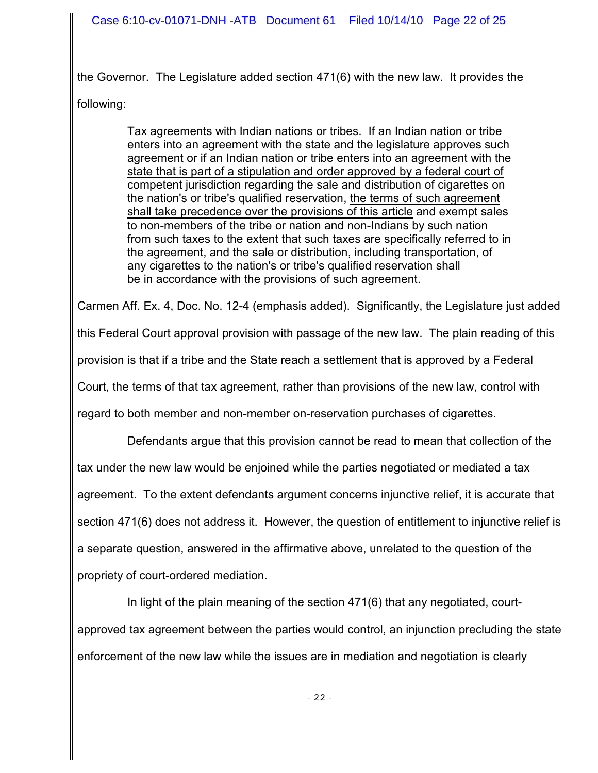the Governor. The Legislature added section 471(6) with the new law. It provides the following:

> Tax agreements with Indian nations or tribes. If an Indian nation or tribe enters into an agreement with the state and the legislature approves such agreement or if an Indian nation or tribe enters into an agreement with the state that is part of a stipulation and order approved by a federal court of competent jurisdiction regarding the sale and distribution of cigarettes on the nation's or tribe's qualified reservation, the terms of such agreement shall take precedence over the provisions of this article and exempt sales to non-members of the tribe or nation and non-Indians by such nation from such taxes to the extent that such taxes are specifically referred to in the agreement, and the sale or distribution, including transportation, of any cigarettes to the nation's or tribe's qualified reservation shall be in accordance with the provisions of such agreement.

Carmen Aff. Ex. 4, Doc. No. 12-4 (emphasis added). Significantly, the Legislature just added

this Federal Court approval provision with passage of the new law. The plain reading of this

provision is that if a tribe and the State reach a settlement that is approved by a Federal

Court, the terms of that tax agreement, rather than provisions of the new law, control with

regard to both member and non-member on-reservation purchases of cigarettes.

Defendants argue that this provision cannot be read to mean that collection of the tax under the new law would be enjoined while the parties negotiated or mediated a tax agreement. To the extent defendants argument concerns injunctive relief, it is accurate that section 471(6) does not address it. However, the question of entitlement to injunctive relief is a separate question, answered in the affirmative above, unrelated to the question of the propriety of court-ordered mediation.

In light of the plain meaning of the section 471(6) that any negotiated, courtapproved tax agreement between the parties would control, an injunction precluding the state enforcement of the new law while the issues are in mediation and negotiation is clearly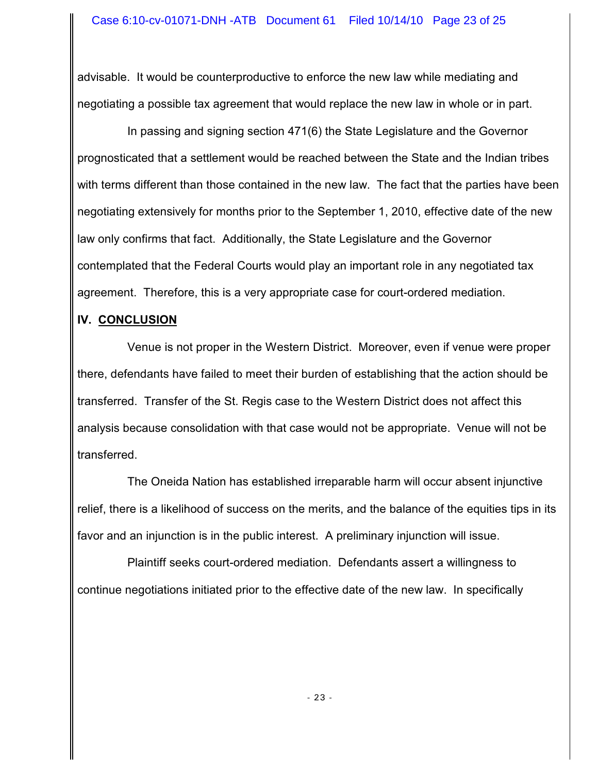advisable. It would be counterproductive to enforce the new law while mediating and negotiating a possible tax agreement that would replace the new law in whole or in part.

In passing and signing section 471(6) the State Legislature and the Governor prognosticated that a settlement would be reached between the State and the Indian tribes with terms different than those contained in the new law. The fact that the parties have been negotiating extensively for months prior to the September 1, 2010, effective date of the new law only confirms that fact. Additionally, the State Legislature and the Governor contemplated that the Federal Courts would play an important role in any negotiated tax agreement. Therefore, this is a very appropriate case for court-ordered mediation.

## **IV. CONCLUSION**

Venue is not proper in the Western District. Moreover, even if venue were proper there, defendants have failed to meet their burden of establishing that the action should be transferred. Transfer of the St. Regis case to the Western District does not affect this analysis because consolidation with that case would not be appropriate. Venue will not be transferred.

The Oneida Nation has established irreparable harm will occur absent injunctive relief, there is a likelihood of success on the merits, and the balance of the equities tips in its favor and an injunction is in the public interest. A preliminary injunction will issue.

Plaintiff seeks court-ordered mediation. Defendants assert a willingness to continue negotiations initiated prior to the effective date of the new law. In specifically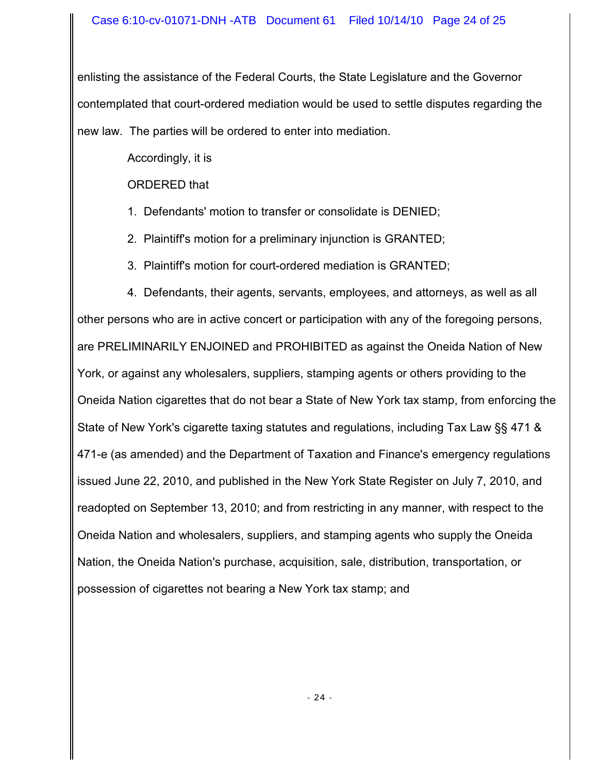enlisting the assistance of the Federal Courts, the State Legislature and the Governor contemplated that court-ordered mediation would be used to settle disputes regarding the new law. The parties will be ordered to enter into mediation.

Accordingly, it is

ORDERED that

- 1. Defendants' motion to transfer or consolidate is DENIED;
- 2. Plaintiff's motion for a preliminary injunction is GRANTED;
- 3. Plaintiff's motion for court-ordered mediation is GRANTED;

4. Defendants, their agents, servants, employees, and attorneys, as well as all other persons who are in active concert or participation with any of the foregoing persons, are PRELIMINARILY ENJOINED and PROHIBITED as against the Oneida Nation of New York, or against any wholesalers, suppliers, stamping agents or others providing to the Oneida Nation cigarettes that do not bear a State of New York tax stamp, from enforcing the State of New York's cigarette taxing statutes and regulations, including Tax Law §§ 471 & 471-e (as amended) and the Department of Taxation and Finance's emergency regulations issued June 22, 2010, and published in the New York State Register on July 7, 2010, and readopted on September 13, 2010; and from restricting in any manner, with respect to the Oneida Nation and wholesalers, suppliers, and stamping agents who supply the Oneida Nation, the Oneida Nation's purchase, acquisition, sale, distribution, transportation, or possession of cigarettes not bearing a New York tax stamp; and